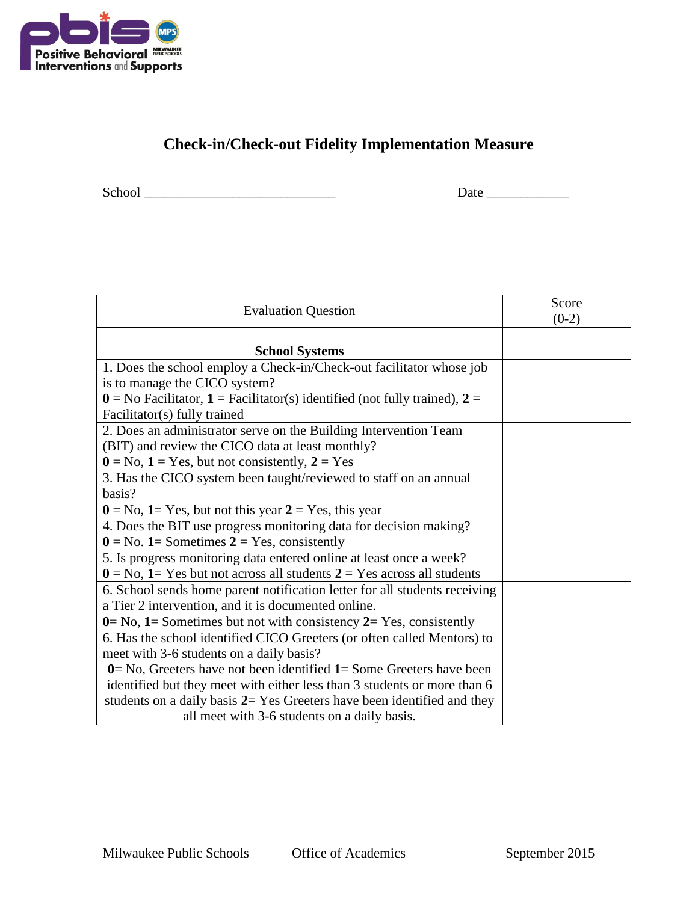

## **Check-in/Check-out Fidelity Implementation Measure**

School \_\_\_\_\_\_\_\_\_\_\_\_\_\_\_\_\_\_\_\_\_\_\_\_\_\_\_\_ Date \_\_\_\_\_\_\_\_\_\_\_\_

| <b>Evaluation Question</b>                                                                                  | Score<br>$(0-2)$ |
|-------------------------------------------------------------------------------------------------------------|------------------|
| <b>School Systems</b>                                                                                       |                  |
| 1. Does the school employ a Check-in/Check-out facilitator whose job                                        |                  |
| is to manage the CICO system?                                                                               |                  |
| $\mathbf{0} =$ No Facilitator, $\mathbf{1} =$ Facilitator(s) identified (not fully trained), $\mathbf{2} =$ |                  |
| Facilitator(s) fully trained                                                                                |                  |
| 2. Does an administrator serve on the Building Intervention Team                                            |                  |
| (BIT) and review the CICO data at least monthly?                                                            |                  |
| $0 = No$ , $1 = Yes$ , but not consistently, $2 = Yes$                                                      |                  |
| 3. Has the CICO system been taught/reviewed to staff on an annual                                           |                  |
| basis?                                                                                                      |                  |
| $0 = No$ , $1 = Yes$ , but not this year $2 = Yes$ , this year                                              |                  |
| 4. Does the BIT use progress monitoring data for decision making?                                           |                  |
| $0 = No. 1$ = Sometimes $2 = Yes$ , consistently                                                            |                  |
| 5. Is progress monitoring data entered online at least once a week?                                         |                  |
| $0 = No$ , $1 = Yes$ but not across all students $2 = Yes$ across all students                              |                  |
| 6. School sends home parent notification letter for all students receiving                                  |                  |
| a Tier 2 intervention, and it is documented online.                                                         |                  |
| $0 = No$ , $1 =$ Sometimes but not with consistency $2 = Yes$ , consistently                                |                  |
| 6. Has the school identified CICO Greeters (or often called Mentors) to                                     |                  |
| meet with 3-6 students on a daily basis?                                                                    |                  |
| $0 = No$ , Greeters have not been identified $1 = Some$ Greeters have been                                  |                  |
| identified but they meet with either less than 3 students or more than 6                                    |                  |
| students on a daily basis $2=$ Yes Greeters have been identified and they                                   |                  |
| all meet with 3-6 students on a daily basis.                                                                |                  |